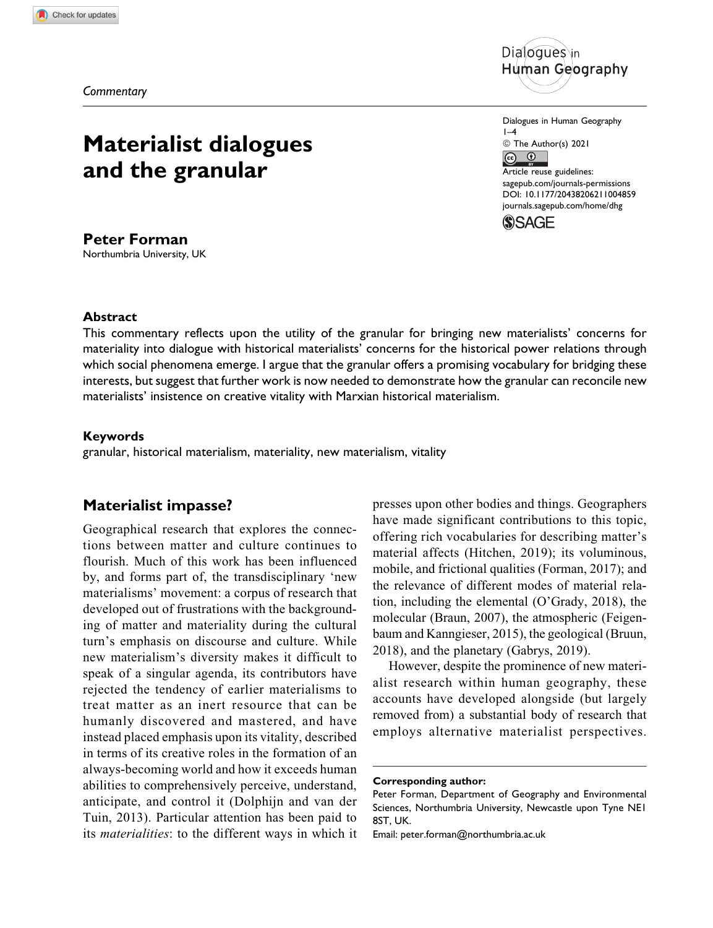*Commentary*

# **Materialist dialogues and the granular**

**Peter Forman** Northumbria University, UK



Dialogues in Human Geography  $1-4$ © The Author(s) 2021  $\overline{(\overline{c}\overline{c})}$  $\odot$ Article reuse guidelines: [sagepub.com/journals-permissions](https://sagepub.com/journals-permissions) [DOI: 10.1177/20438206211004859](https://doi.org/10.1177/20438206211004859) [journals.sagepub.com/home/dhg](http://journals.sagepub.com/home/dhg)



## **Abstract**

This commentary reflects upon the utility of the granular for bringing new materialists' concerns for materiality into dialogue with historical materialists' concerns for the historical power relations through which social phenomena emerge. I argue that the granular offers a promising vocabulary for bridging these interests, but suggest that further work is now needed to demonstrate how the granular can reconcile new materialists' insistence on creative vitality with Marxian historical materialism.

### **Keywords**

granular, historical materialism, materiality, new materialism, vitality

## **Materialist impasse?**

Geographical research that explores the connections between matter and culture continues to flourish. Much of this work has been influenced by, and forms part of, the transdisciplinary 'new materialisms' movement: a corpus of research that developed out of frustrations with the backgrounding of matter and materiality during the cultural turn's emphasis on discourse and culture. While new materialism's diversity makes it difficult to speak of a singular agenda, its contributors have rejected the tendency of earlier materialisms to treat matter as an inert resource that can be humanly discovered and mastered, and have instead placed emphasis upon its vitality, described in terms of its creative roles in the formation of an always-becoming world and how it exceeds human abilities to comprehensively perceive, understand, anticipate, and control it (Dolphijn and van der Tuin, 2013). Particular attention has been paid to its materialities: to the different ways in which it presses upon other bodies and things. Geographers have made significant contributions to this topic, offering rich vocabularies for describing matter's material affects (Hitchen, 2019); its voluminous, mobile, and frictional qualities (Forman, 2017); and the relevance of different modes of material relation, including the elemental (O'Grady, 2018), the molecular (Braun, 2007), the atmospheric (Feigenbaum and Kanngieser, 2015), the geological (Bruun, 2018), and the planetary (Gabrys, 2019).

However, despite the prominence of new materialist research within human geography, these accounts have developed alongside (but largely removed from) a substantial body of research that employs alternative materialist perspectives.

**Corresponding author:**

Peter Forman, Department of Geography and Environmental Sciences, Northumbria University, Newcastle upon Tyne NE1 8ST, UK.

Email: [peter.forman@northumbria.ac.uk](mailto:peter.forman@northumbria.ac.uk)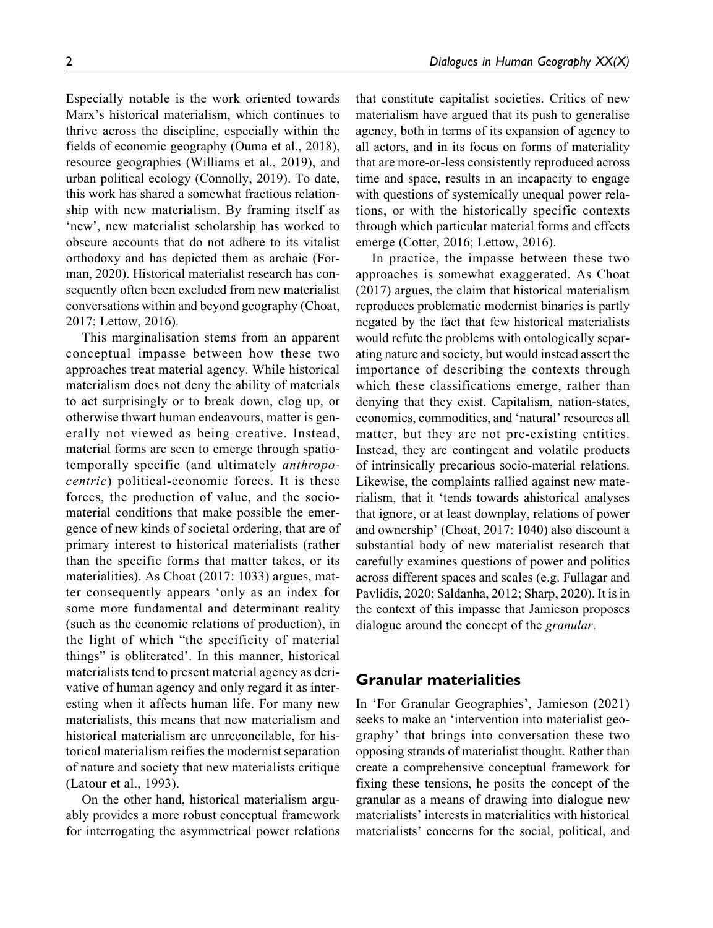Especially notable is the work oriented towards Marx's historical materialism, which continues to thrive across the discipline, especially within the fields of economic geography (Ouma et al., 2018), resource geographies (Williams et al., 2019), and urban political ecology (Connolly, 2019). To date, this work has shared a somewhat fractious relationship with new materialism. By framing itself as 'new', new materialist scholarship has worked to obscure accounts that do not adhere to its vitalist orthodoxy and has depicted them as archaic (Forman, 2020). Historical materialist research has consequently often been excluded from new materialist conversations within and beyond geography (Choat, 2017; Lettow, 2016).

This marginalisation stems from an apparent conceptual impasse between how these two approaches treat material agency. While historical materialism does not deny the ability of materials to act surprisingly or to break down, clog up, or otherwise thwart human endeavours, matter is generally not viewed as being creative. Instead, material forms are seen to emerge through spatiotemporally specific (and ultimately anthropocentric) political-economic forces. It is these forces, the production of value, and the sociomaterial conditions that make possible the emergence of new kinds of societal ordering, that are of primary interest to historical materialists (rather than the specific forms that matter takes, or its materialities). As Choat (2017: 1033) argues, matter consequently appears 'only as an index for some more fundamental and determinant reality (such as the economic relations of production), in the light of which "the specificity of material things" is obliterated'. In this manner, historical materialists tend to present material agency as derivative of human agency and only regard it as interesting when it affects human life. For many new materialists, this means that new materialism and historical materialism are unreconcilable, for historical materialism reifies the modernist separation of nature and society that new materialists critique (Latour et al., 1993).

On the other hand, historical materialism arguably provides a more robust conceptual framework for interrogating the asymmetrical power relations that constitute capitalist societies. Critics of new materialism have argued that its push to generalise agency, both in terms of its expansion of agency to all actors, and in its focus on forms of materiality that are more-or-less consistently reproduced across time and space, results in an incapacity to engage with questions of systemically unequal power relations, or with the historically specific contexts through which particular material forms and effects emerge (Cotter, 2016; Lettow, 2016).

In practice, the impasse between these two approaches is somewhat exaggerated. As Choat (2017) argues, the claim that historical materialism reproduces problematic modernist binaries is partly negated by the fact that few historical materialists would refute the problems with ontologically separating nature and society, but would instead assert the importance of describing the contexts through which these classifications emerge, rather than denying that they exist. Capitalism, nation-states, economies, commodities, and 'natural' resources all matter, but they are not pre-existing entities. Instead, they are contingent and volatile products of intrinsically precarious socio-material relations. Likewise, the complaints rallied against new materialism, that it 'tends towards ahistorical analyses that ignore, or at least downplay, relations of power and ownership' (Choat, 2017: 1040) also discount a substantial body of new materialist research that carefully examines questions of power and politics across different spaces and scales (e.g. Fullagar and Pavlidis, 2020; Saldanha, 2012; Sharp, 2020). It is in the context of this impasse that Jamieson proposes dialogue around the concept of the granular.

## **Granular materialities**

In 'For Granular Geographies', Jamieson (2021) seeks to make an 'intervention into materialist geography' that brings into conversation these two opposing strands of materialist thought. Rather than create a comprehensive conceptual framework for fixing these tensions, he posits the concept of the granular as a means of drawing into dialogue new materialists' interests in materialities with historical materialists' concerns for the social, political, and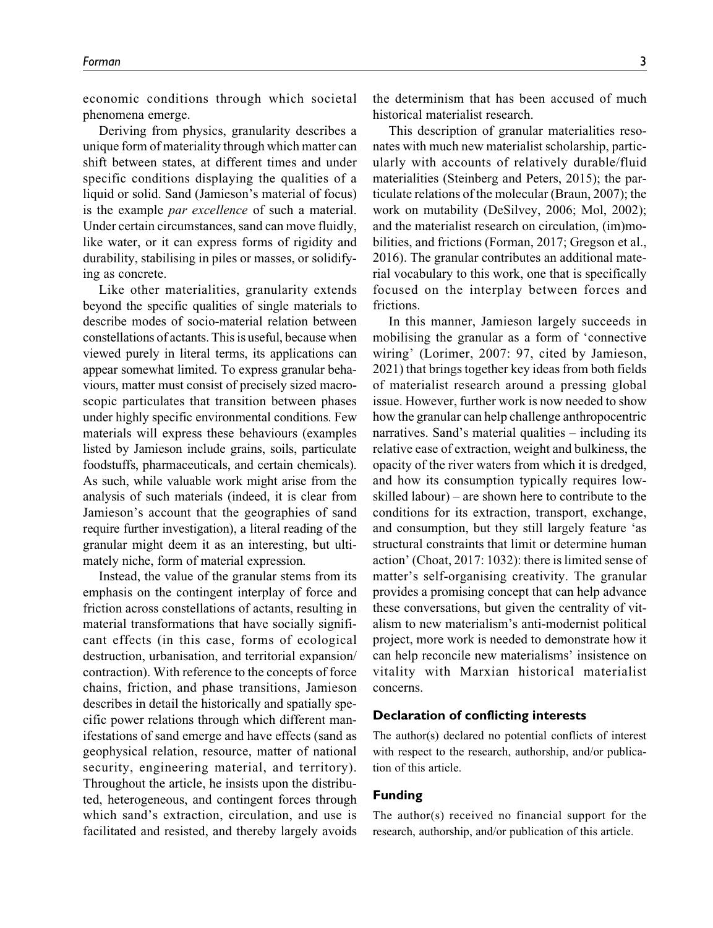economic conditions through which societal phenomena emerge.

Deriving from physics, granularity describes a unique form of materiality through which matter can shift between states, at different times and under specific conditions displaying the qualities of a liquid or solid. Sand (Jamieson's material of focus) is the example par excellence of such a material. Under certain circumstances, sand can move fluidly, like water, or it can express forms of rigidity and durability, stabilising in piles or masses, or solidifying as concrete.

Like other materialities, granularity extends beyond the specific qualities of single materials to describe modes of socio-material relation between constellations of actants. This is useful, because when viewed purely in literal terms, its applications can appear somewhat limited. To express granular behaviours, matter must consist of precisely sized macroscopic particulates that transition between phases under highly specific environmental conditions. Few materials will express these behaviours (examples listed by Jamieson include grains, soils, particulate foodstuffs, pharmaceuticals, and certain chemicals). As such, while valuable work might arise from the analysis of such materials (indeed, it is clear from Jamieson's account that the geographies of sand require further investigation), a literal reading of the granular might deem it as an interesting, but ultimately niche, form of material expression.

Instead, the value of the granular stems from its emphasis on the contingent interplay of force and friction across constellations of actants, resulting in material transformations that have socially significant effects (in this case, forms of ecological destruction, urbanisation, and territorial expansion/ contraction). With reference to the concepts of force chains, friction, and phase transitions, Jamieson describes in detail the historically and spatially specific power relations through which different manifestations of sand emerge and have effects (sand as geophysical relation, resource, matter of national security, engineering material, and territory). Throughout the article, he insists upon the distributed, heterogeneous, and contingent forces through which sand's extraction, circulation, and use is facilitated and resisted, and thereby largely avoids the determinism that has been accused of much historical materialist research.

This description of granular materialities resonates with much new materialist scholarship, particularly with accounts of relatively durable/fluid materialities (Steinberg and Peters, 2015); the particulate relations of the molecular (Braun, 2007); the work on mutability (DeSilvey, 2006; Mol, 2002); and the materialist research on circulation, (im)mobilities, and frictions (Forman, 2017; Gregson et al., 2016). The granular contributes an additional material vocabulary to this work, one that is specifically focused on the interplay between forces and frictions.

In this manner, Jamieson largely succeeds in mobilising the granular as a form of 'connective wiring' (Lorimer, 2007: 97, cited by Jamieson, 2021) that brings together key ideas from both fields of materialist research around a pressing global issue. However, further work is now needed to show how the granular can help challenge anthropocentric narratives. Sand's material qualities – including its relative ease of extraction, weight and bulkiness, the opacity of the river waters from which it is dredged, and how its consumption typically requires lowskilled labour) – are shown here to contribute to the conditions for its extraction, transport, exchange, and consumption, but they still largely feature 'as structural constraints that limit or determine human action' (Choat, 2017: 1032): there is limited sense of matter's self-organising creativity. The granular provides a promising concept that can help advance these conversations, but given the centrality of vitalism to new materialism's anti-modernist political project, more work is needed to demonstrate how it can help reconcile new materialisms' insistence on vitality with Marxian historical materialist concerns.

## **Declaration of conflicting interests**

The author(s) declared no potential conflicts of interest with respect to the research, authorship, and/or publication of this article.

### **Funding**

The author(s) received no financial support for the research, authorship, and/or publication of this article.